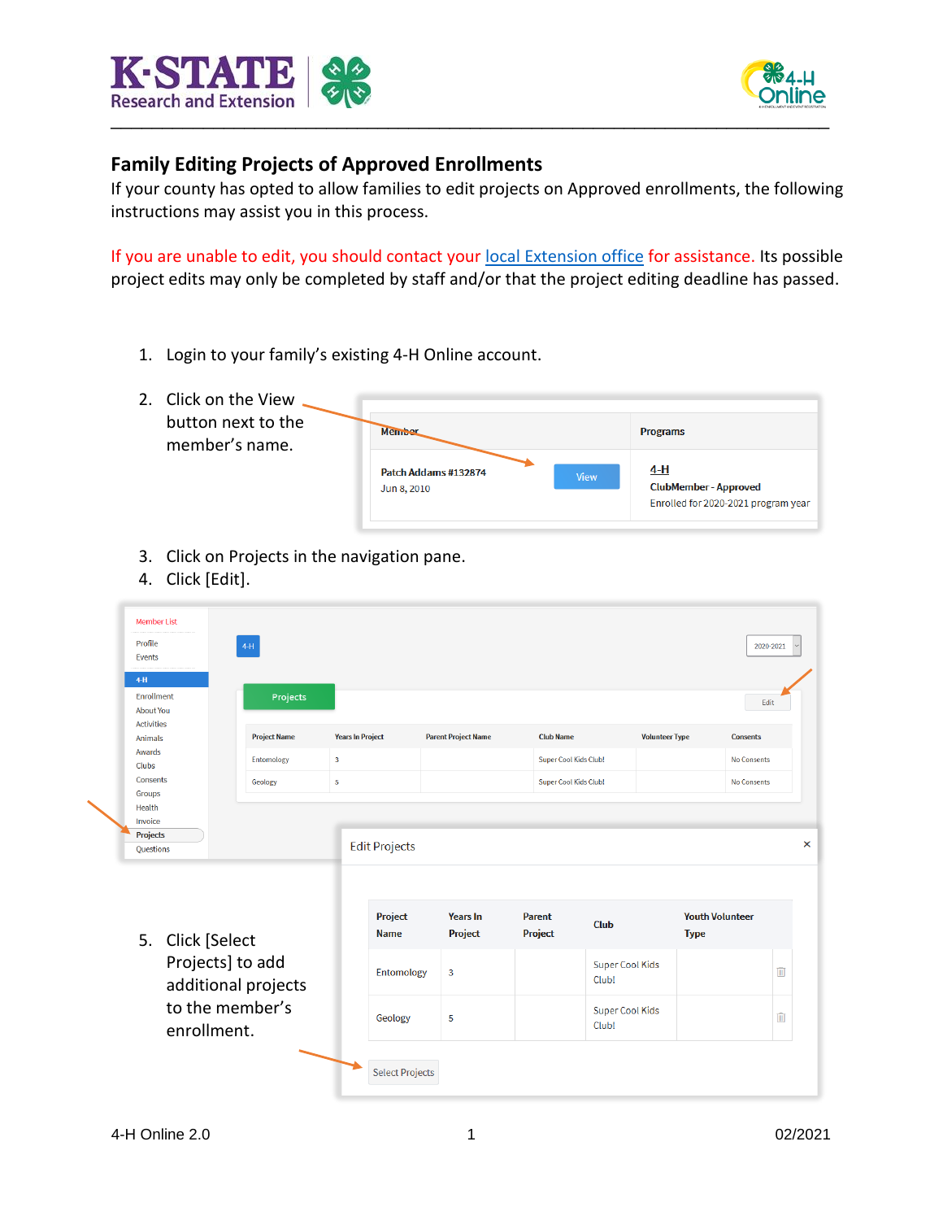



## **Family Editing Projects of Approved Enrollments**

If your county has opted to allow families to edit projects on Approved enrollments, the following instructions may assist you in this process.

If you are unable to edit, you should contact your [local Extension office](https://www.ksre.k-state.edu/about/stateandareamaps.html) for assistance. Its possible project edits may only be completed by staff and/or that the project editing deadline has passed.

- 1. Login to your family's existing 4-H Online account.
- 2. Click on the View  $\sim$ button next to the

member's name.

| Member                              |             | <b>Programs</b>                                                          |
|-------------------------------------|-------------|--------------------------------------------------------------------------|
| Patch Addams #132874<br>Jun 8, 2010 | <b>View</b> | 4-H<br><b>ClubMember-Approved</b><br>Enrolled for 2020-2021 program year |

- 3. Click on Projects in the navigation pane.
- 4. Click [Edit].

| Profile<br><b>Events</b>                                     | <b>Member List</b>                      | $4-H$               |                         |                                                       |                                   |                                 |                                 |                       | 2020-2021              |   |
|--------------------------------------------------------------|-----------------------------------------|---------------------|-------------------------|-------------------------------------------------------|-----------------------------------|---------------------------------|---------------------------------|-----------------------|------------------------|---|
| $4-H$<br>Enrollment<br><b>About You</b><br><b>Activities</b> |                                         | Projects            |                         |                                                       |                                   |                                 |                                 |                       | Edit                   |   |
| <b>Animals</b>                                               |                                         | <b>Project Name</b> | <b>Years In Project</b> |                                                       | <b>Parent Project Name</b>        | <b>Club Name</b>                |                                 | <b>Volunteer Type</b> | <b>Consents</b>        |   |
| Awards<br>Clubs                                              |                                         | Entomology          | $\overline{\mathbf{3}}$ |                                                       |                                   |                                 | <b>Super Cool Kids Club!</b>    |                       | <b>No Consents</b>     |   |
| Consents<br>Groups                                           |                                         | Geology             | $\overline{\mathbf{5}}$ |                                                       |                                   |                                 | <b>Super Cool Kids Club!</b>    |                       | <b>No Consents</b>     |   |
| <b>Projects</b><br>Questions                                 | 5. Click [Select                        |                     |                         | <b>Edit Projects</b><br><b>Project</b><br><b>Name</b> | <b>Years In</b><br><b>Project</b> | <b>Parent</b><br><b>Project</b> | <b>Club</b>                     | <b>Type</b>           | <b>Youth Volunteer</b> |   |
|                                                              | Projects] to add<br>additional projects |                     |                         | Entomology                                            | 3                                 |                                 | <b>Super Cool Kids</b><br>Club! |                       |                        | Û |
|                                                              | to the member's<br>enrollment.          |                     |                         | Geology                                               | 5                                 |                                 | <b>Super Cool Kids</b><br>Club! |                       |                        | Ŵ |
|                                                              |                                         |                     |                         | <b>Select Projects</b>                                |                                   |                                 |                                 |                       |                        |   |